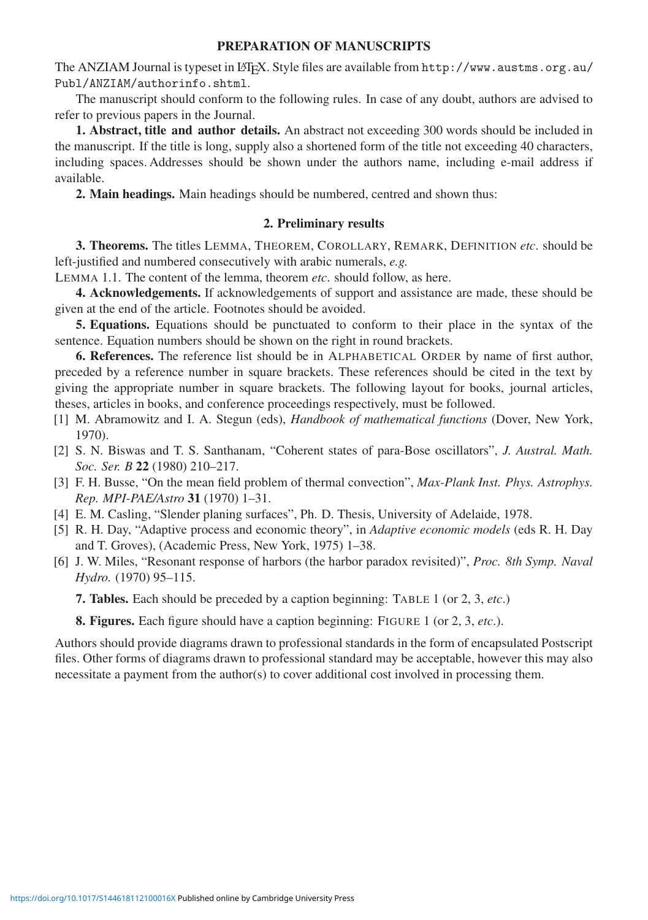#### PREPARATION OF MANUSCRIPTS

The ANZIAM Journal is typeset in LATEX. Style files are available from http://www.austms.org.au/ Publ/ANZIAM/authorinfo.shtml.

The manuscript should conform to the following rules. In case of any doubt, authors are advised to refer to previous papers in the Journal.

1. Abstract, title and author details. An abstract not exceeding 300 words should be included in the manuscript. If the title is long, supply also a shortened form of the title not exceeding 40 characters, including spaces. Addresses should be shown under the authors name, including e-mail address if available.

2. Main headings. Main headings should be numbered, centred and shown thus:

### 2. Preliminary results

3. Theorems. The titles LEMMA, THEOREM, COROLLARY, REMARK, DEFINITION *etc*. should be left-justified and numbered consecutively with arabic numerals, *e.g.*

LEMMA 1.1. The content of the lemma, theorem *etc*. should follow, as here.

4. Acknowledgements. If acknowledgements of support and assistance are made, these should be given at the end of the article. Footnotes should be avoided.

5. Equations. Equations should be punctuated to conform to their place in the syntax of the sentence. Equation numbers should be shown on the right in round brackets.

6. References. The reference list should be in ALPHABETICAL ORDER by name of first author, preceded by a reference number in square brackets. These references should be cited in the text by giving the appropriate number in square brackets. The following layout for books, journal articles, theses, articles in books, and conference proceedings respectively, must be followed.

- [1] M. Abramowitz and I. A. Stegun (eds), *Handbook of mathematical functions* (Dover, New York, 1970).
- [2] S. N. Biswas and T. S. Santhanam, "Coherent states of para-Bose oscillators", *J. Austral. Math. Soc. Ser. B* 22 (1980) 210–217.
- [3] F. H. Busse, "On the mean field problem of thermal convection", *Max-Plank Inst. Phys. Astrophys. Rep. MPI-PAE/Astro* 31 (1970) 1–31.
- [4] E. M. Casling, "Slender planing surfaces", Ph. D. Thesis, University of Adelaide, 1978.
- [5] R. H. Day, "Adaptive process and economic theory", in *Adaptive economic models* (eds R. H. Day and T. Groves), (Academic Press, New York, 1975) 1–38.
- [6] J. W. Miles, "Resonant response of harbors (the harbor paradox revisited)", *Proc. 8th Symp. Naval Hydro.* (1970) 95–115.

7. Tables. Each should be preceded by a caption beginning: TABLE 1 (or 2, 3, *etc*.)

8. Figures. Each figure should have a caption beginning: FIGURE 1 (or 2, 3, *etc*.).

Authors should provide diagrams drawn to professional standards in the form of encapsulated Postscript files. Other forms of diagrams drawn to professional standard may be acceptable, however this may also necessitate a payment from the author(s) to cover additional cost involved in processing them.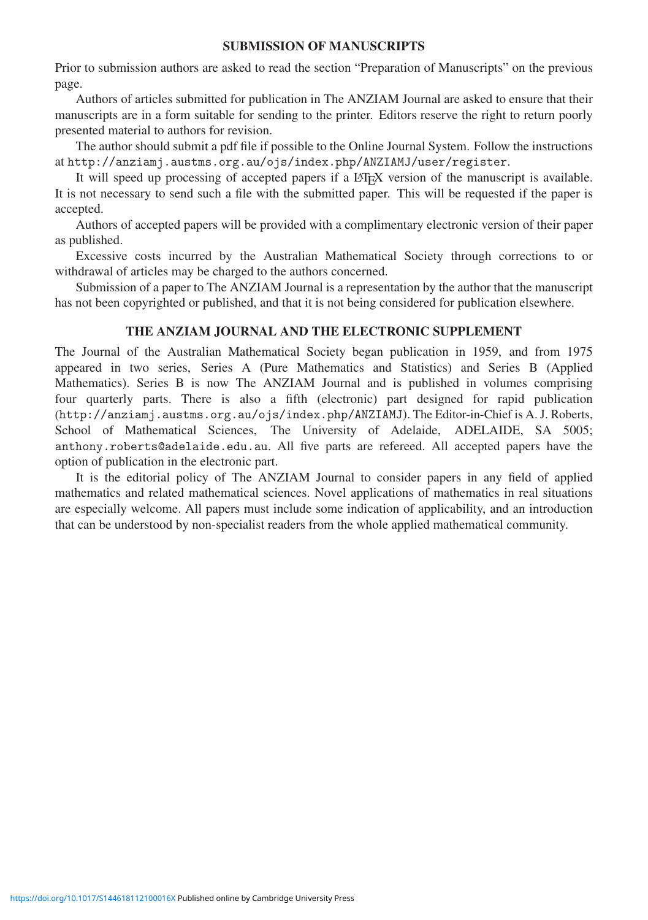### SUBMISSION OF MANUSCRIPTS

Prior to submission authors are asked to read the section "Preparation of Manuscripts" on the previous page.

Authors of articles submitted for publication in The ANZIAM Journal are asked to ensure that their manuscripts are in a form suitable for sending to the printer. Editors reserve the right to return poorly presented material to authors for revision.

The author should submit a pdf file if possible to the Online Journal System. Follow the instructions at http://anziamj.austms.org.au/ojs/index.php/ANZIAMJ/user/register.

It will speed up processing of accepted papers if a LAT<sub>EX</sub> version of the manuscript is available. It is not necessary to send such a file with the submitted paper. This will be requested if the paper is accepted.

Authors of accepted papers will be provided with a complimentary electronic version of their paper as published.

Excessive costs incurred by the Australian Mathematical Society through corrections to or withdrawal of articles may be charged to the authors concerned.

Submission of a paper to The ANZIAM Journal is a representation by the author that the manuscript has not been copyrighted or published, and that it is not being considered for publication elsewhere.

### THE ANZIAM JOURNAL AND THE ELECTRONIC SUPPLEMENT

The Journal of the Australian Mathematical Society began publication in 1959, and from 1975 appeared in two series, Series A (Pure Mathematics and Statistics) and Series B (Applied Mathematics). Series B is now The ANZIAM Journal and is published in volumes comprising four quarterly parts. There is also a fifth (electronic) part designed for rapid publication (http://anziamj.austms.org.au/ojs/index.php/ANZIAMJ). The Editor-in-Chief is A. J. Roberts, School of Mathematical Sciences, The University of Adelaide, ADELAIDE, SA 5005; anthony.roberts@adelaide.edu.au. All five parts are refereed. All accepted papers have the option of publication in the electronic part.

It is the editorial policy of The ANZIAM Journal to consider papers in any field of applied mathematics and related mathematical sciences. Novel applications of mathematics in real situations are especially welcome. All papers must include some indication of applicability, and an introduction that can be understood by non-specialist readers from the whole applied mathematical community.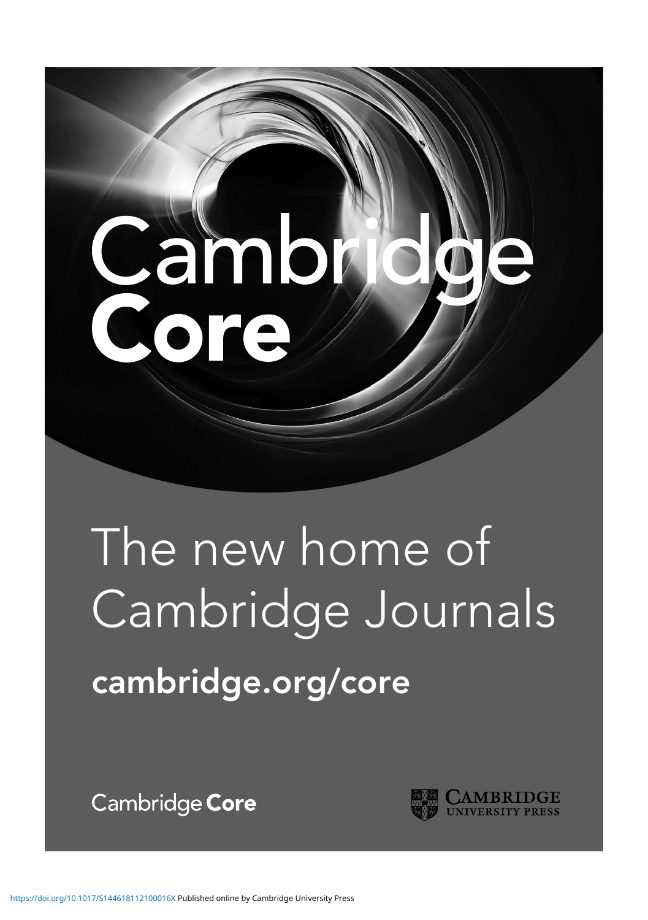# Cam IO Core

## The new home of Cambridge Journals cambridge.org/core

Cambridge Core

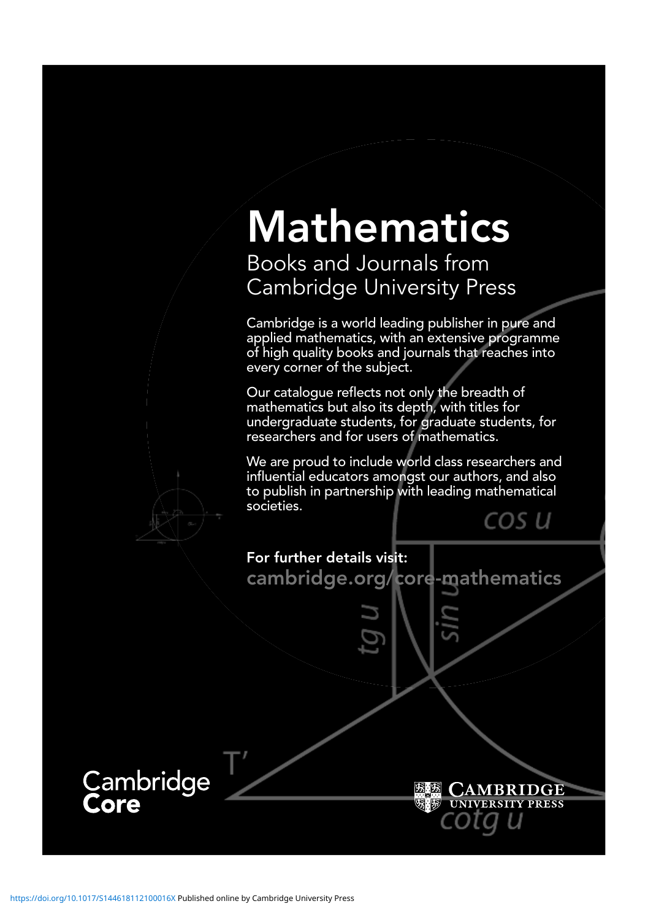## Mathematics

Books and Journals from Cambridge University Press

Cambridge is a world leading publisher in pure and applied mathematics, with an extensive programme of high quality books and journals that reaches into every corner of the subject.

Our catalogue reflects not only the breadth of mathematics but also its depth, with titles for undergraduate students, for graduate students, for researchers and for users of mathematics.

We are proud to include world class researchers and influential educators amongst our authors, and also to publish in partnership with leading mathematical societies.

cambridge.org/core-mathematics

For further details visit:

COS U

**CAMBRIDGE UNIVERSITY PRESS** 



Cambridge<br>Core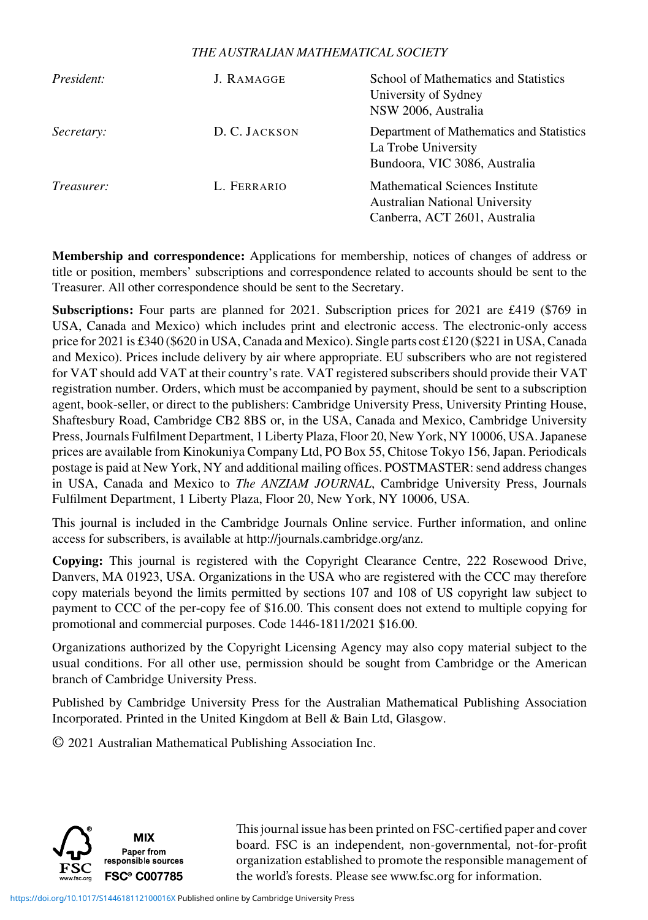### *THE AUSTRALIAN MATHEMATICAL SOCIETY THE AUSTRALIAN MATHEMATICAL SOCIETY*

| <i>President:</i> | J. RAMAGGE    | School of Mathematics and Statistics<br>University of Sydney<br>NSW 2006, Australia                       |
|-------------------|---------------|-----------------------------------------------------------------------------------------------------------|
| Secretary:        | D. C. JACKSON | Department of Mathematics and Statistics<br>La Trobe University<br>Bundoora, VIC 3086, Australia          |
| <i>Treasurer:</i> | L. FERRARIO   | Mathematical Sciences Institute<br><b>Australian National University</b><br>Canberra, ACT 2601, Australia |

title or position, members' subscriptions and correspondence related to accounts should be sent to the Treasurer. All other correspondence should be sent to the Secretary. Membership and correspondence: Applications for membership, notices of changes of address or

Subscriptions: Four parts are planned for 2021. Subscription prices for 2021 are £419 (\$769 in USA, Canada and Mexico) which includes print and electronic access. The electronic-only access price for 2021 is £340 (\$620 in USA, Canada and Mexico). Single parts cost £120 (\$221 in USA, Canada and Mexico). Prices include delivery by air where appropriate. EU subscribers who are not registered for VAT should add VAT at their country's rate. VAT registered subscribers should provide their VAT registration number. Orders, which must be accompanied by payment, should be sent to a subscription agent, book-seller, or direct to the publishers: Cambridge University Press, University Printing House, Shaftesbury Road, Cambridge CB2 8BS or, in the USA, Canada and Mexico, Cambridge University Press, Journals Fulfilment Department, 1 Liberty Plaza, Floor 20, New York, NY 10006, USA. Japanese prices are available from Kinokuniya Company Ltd, PO Box 55, Chitose Tokyo 156, Japan. Periodicals postage is paid at New York, NY and additional mailing offices. POSTMASTER: send address changes in USA, Canada and Mexico to *The ANZIAM JOURNAL*, Cambridge University Press, Journals Fulfilment Department, 1 Liberty Plaza, Floor 20, New York, NY 10006, USA. Press, Journals Fulfilment Department, 1 Liberty Plaza, Floor 20, New York, NY 10006, USA. Japanese<br>prices are available from Kinokuniya Company Ltd, PO Box 55, Chitose Tokyo 156, Japan. Periodicals<br>postage is paid at New

This journal is included in the Cambridge Journals Online service. Further information, and online access for subscribers, is available at http://journals.cambridge.org/anz.

Copying: This journal is registered with the Copyright Clearance Centre, 222 Rosewood Drive, Danvers, MA 01923, USA. Organizations in the USA who are registered with the CCC may therefore copy materials beyond the limits permitted by sections 107 and 108 of US copyright law subject to payment to CCC of the per-copy fee of \$16.00. This consent does not extend to multiple copying for promotional and commercial purposes. Code  $1446-1811/2021$  \$16.00.

Organizations authorized by the Copyright Licensing Agency may also copy material subject to the usual conditions. For all other use, permission should be sought from Cambridge or the American branch of Cambridge University Press.

Published by Cambridge University Press for the Australian Mathematical Publishing Association Incorporated. Printed in the United Kingdom at Bell  $\&$  Bain Ltd, Glasgow.

© 2021 Australian Mathematical Publishing Association Inc.



This journal issue has been printed on FSC-certified paper and cover board. FSC is an independent, non-governmental, not-for-profit organization established to promote the responsible management of the world's forests. Please see www.fsc.org for information. board. FSC is an independent, non-governmental, not-for-profit organization established to promote the responsible management of<br>the world's forests. Please see www.fsc.org for information.